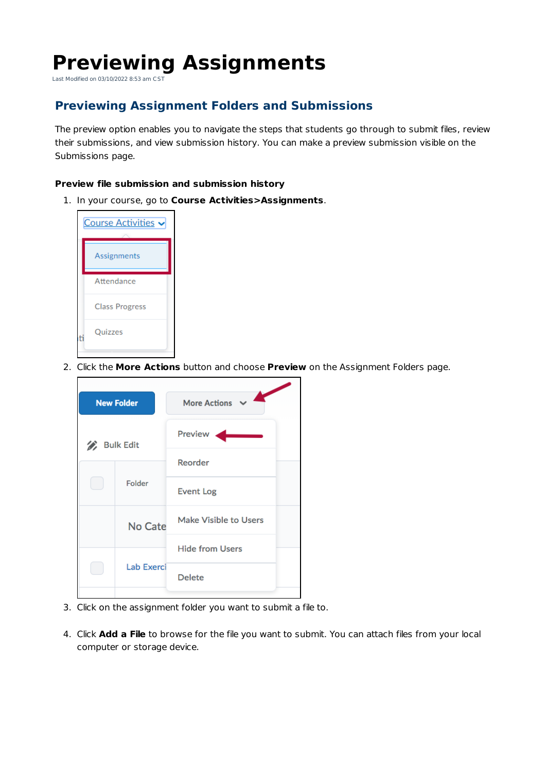## **Previewing Assignments**

Last Modified on 03/10/2022 8:53 am CST

## **Previewing Assignment Folders and Submissions**

The preview option enables you to navigate the steps that students go through to submit files, review their submissions, and view submission history. You can make a preview submission visible on the Submissions page.

## **Preview file submission and submission history**

1. In your course, go to **Course Activities>Assignments**.



2. Click the **More Actions** button and choose **Preview** on the Assignment Folders page.

|    | <b>New Folder</b> | <b>More Actions</b>          |
|----|-------------------|------------------------------|
| D, | <b>Bulk Edit</b>  | Preview                      |
|    |                   | Reorder                      |
|    | Folder            | <b>Event Log</b>             |
|    | No Cate           | <b>Make Visible to Users</b> |
|    |                   | <b>Hide from Users</b>       |
|    | Lab Exerci        | <b>Delete</b>                |
|    |                   |                              |

- 3. Click on the assignment folder you want to submit a file to.
- 4. Click **Add a File** to browse for the file you want to submit. You can attach files from your local computer or storage device.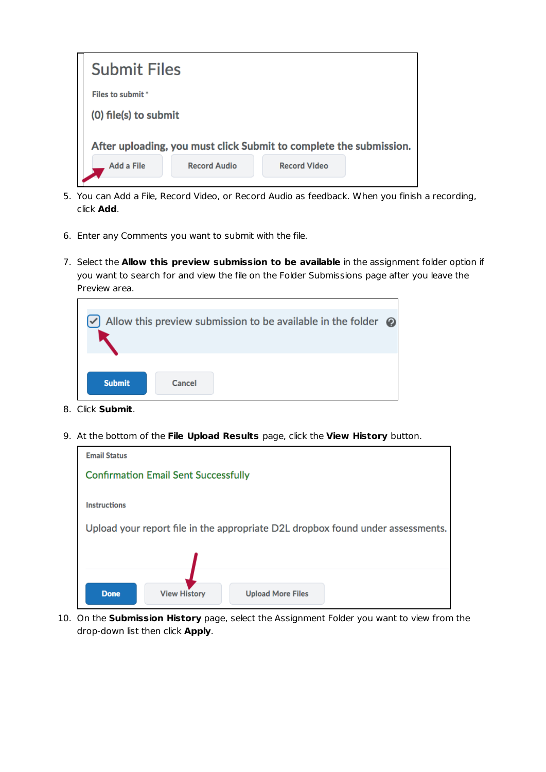

- 5. You can Add a File, Record Video, or Record Audio as feedback. When you finish a recording, click **Add**.
- 6. Enter any Comments you want to submit with the file.
- 7. Select the **Allow this preview submission to be available** in the assignment folder option if you want to search for and view the file on the Folder Submissions page after you leave the Preview area.

|               |        | Allow this preview submission to be available in the folder $\odot$ |  |
|---------------|--------|---------------------------------------------------------------------|--|
| <b>Submit</b> | Cancel |                                                                     |  |

- 8. Click **Submit**.
- 9. At the bottom of the **File Upload Results** page, click the **View History** button.

| <b>Email Status</b>                                                             |
|---------------------------------------------------------------------------------|
| <b>Confirmation Email Sent Successfully</b>                                     |
|                                                                                 |
| <b>Instructions</b>                                                             |
| Upload your report file in the appropriate D2L dropbox found under assessments. |
|                                                                                 |
|                                                                                 |
| <b>View History</b><br><b>Done</b><br><b>Upload More Files</b>                  |

10. On the **Submission History** page, select the Assignment Folder you want to view from the drop-down list then click **Apply**.